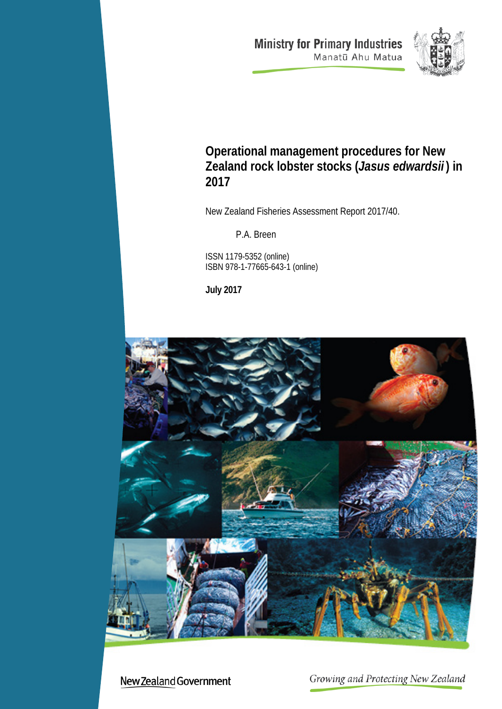**Ministry for Primary Industries** Manatū Ahu Matua



# **Operational management procedures for New Zealand rock lobster stocks (***Jasus edwardsii* **) in 2017**

New Zealand Fisheries Assessment Report 2017/40.

P.A. Breen

ISSN 1179-5352 (online) ISBN 978-1-77665-643-1 (online)

**July 2017**



New Zealand Government

Growing and Protecting New Zealand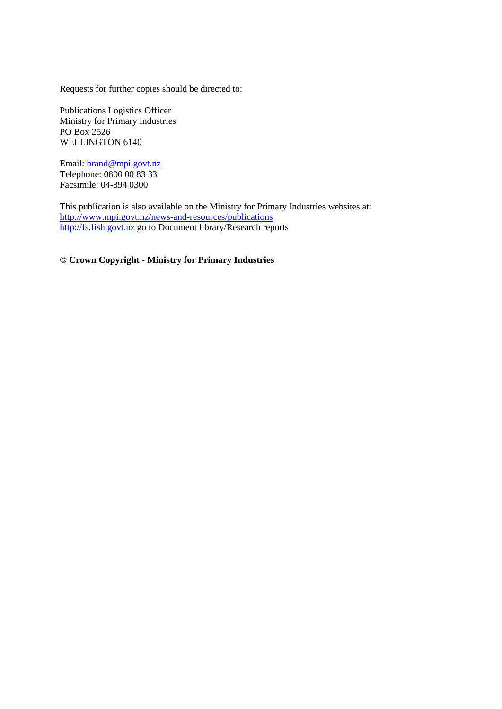Requests for further copies should be directed to:

Publications Logistics Officer Ministry for Primary Industries PO Box 2526 WELLINGTON 6140

Email: [brand@mpi.govt.nz](mailto:brand@mpi.govt.nz) Telephone: 0800 00 83 33 Facsimile: 04-894 0300

This publication is also available on the Ministry for Primary Industries websites at: <http://www.mpi.govt.nz/news-and-resources/publications> [http://fs.fish.govt.nz](http://fs.fish.govt.nz/) go to Document library/Research reports

**© Crown Copyright - Ministry for Primary Industries**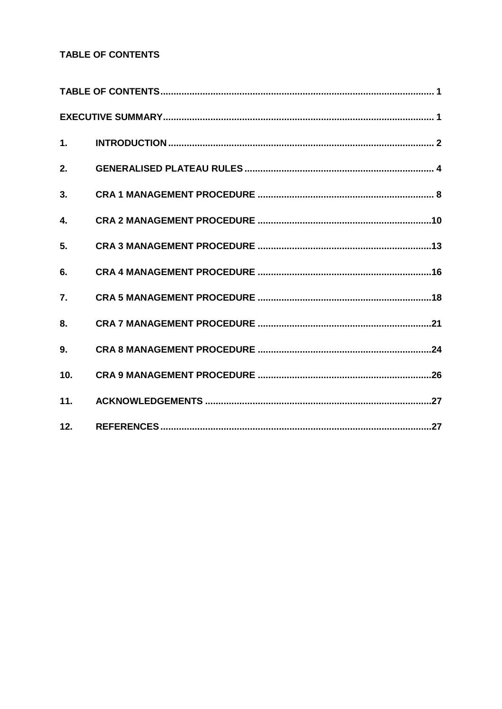## TABLE OF CONTENTS

| 1.  |  |
|-----|--|
| 2.  |  |
| 3.  |  |
| 4.  |  |
| 5.  |  |
| 6.  |  |
| 7.  |  |
| 8.  |  |
| 9.  |  |
| 10. |  |
| 11. |  |
| 12. |  |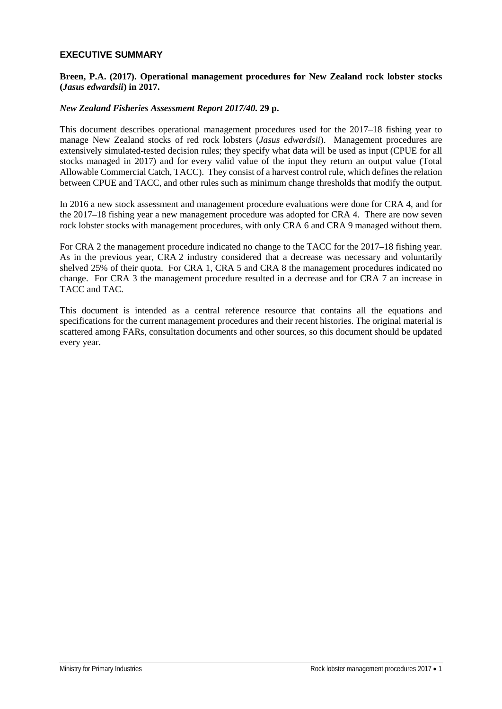## **EXECUTIVE SUMMARY**

#### **Breen, P.A. (2017). Operational management procedures for New Zealand rock lobster stocks (***Jasus edwardsii***) in 2017.**

#### *New Zealand Fisheries Assessment Report 2017/40.* **29 p.**

This document describes operational management procedures used for the 2017–18 fishing year to manage New Zealand stocks of red rock lobsters (*Jasus edwardsii*). Management procedures are extensively simulated-tested decision rules; they specify what data will be used as input (CPUE for all stocks managed in 2017) and for every valid value of the input they return an output value (Total Allowable Commercial Catch, TACC). They consist of a harvest control rule, which defines the relation between CPUE and TACC, and other rules such as minimum change thresholds that modify the output.

In 2016 a new stock assessment and management procedure evaluations were done for CRA 4, and for the 2017–18 fishing year a new management procedure was adopted for CRA 4. There are now seven rock lobster stocks with management procedures, with only CRA 6 and CRA 9 managed without them.

For CRA 2 the management procedure indicated no change to the TACC for the 2017–18 fishing year. As in the previous year, CRA 2 industry considered that a decrease was necessary and voluntarily shelved 25% of their quota. For CRA 1, CRA 5 and CRA 8 the management procedures indicated no change. For CRA 3 the management procedure resulted in a decrease and for CRA 7 an increase in TACC and TAC.

This document is intended as a central reference resource that contains all the equations and specifications for the current management procedures and their recent histories. The original material is scattered among FARs, consultation documents and other sources, so this document should be updated every year.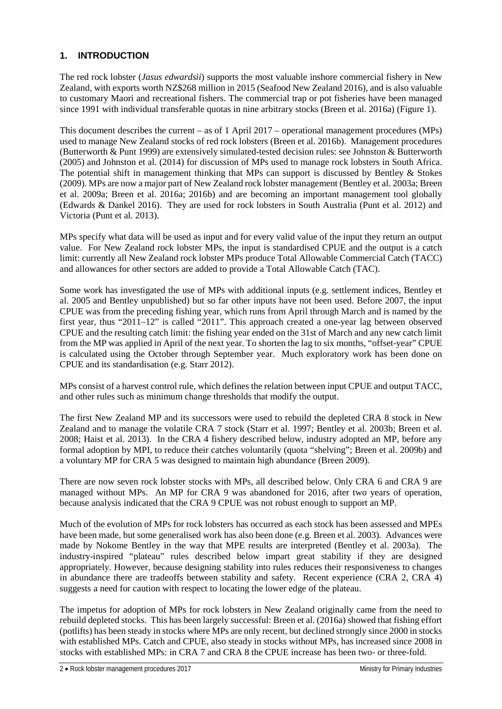## **1. INTRODUCTION**

The red rock lobster (*Jasus edwardsii*) supports the most valuable inshore commercial fishery in New Zealand, with exports worth NZ\$268 million in 2015 (Seafood New Zealand 2016), and is also valuable to customary Maori and recreational fishers. The commercial trap or pot fisheries have been managed since 1991 with individual transferable quotas in nine arbitrary stocks (Breen et al. 2016a) (Figure 1).

This document describes the current – as of 1 April 2017 – operational management procedures (MPs) used to manage New Zealand stocks of red rock lobsters (Breen et al. 2016b). Management procedures (Butterworth & Punt 1999) are extensively simulated-tested decision rules: see Johnston & Butterworth (2005) and Johnston et al. (2014) for discussion of MPs used to manage rock lobsters in South Africa. The potential shift in management thinking that MPs can support is discussed by Bentley  $\&$  Stokes (2009). MPs are now a major part of New Zealand rock lobster management (Bentley et al. 2003a; Breen et al. 2009a; Breen et al. 2016a; 2016b) and are becoming an important management tool globally (Edwards & Dankel 2016). They are used for rock lobsters in South Australia (Punt et al. 2012) and Victoria (Punt et al. 2013).

MPs specify what data will be used as input and for every valid value of the input they return an output value. For New Zealand rock lobster MPs, the input is standardised CPUE and the output is a catch limit: currently all New Zealand rock lobster MPs produce Total Allowable Commercial Catch (TACC) and allowances for other sectors are added to provide a Total Allowable Catch (TAC).

Some work has investigated the use of MPs with additional inputs (e.g. settlement indices, Bentley et al. 2005 and Bentley unpublished) but so far other inputs have not been used. Before 2007, the input CPUE was from the preceding fishing year, which runs from April through March and is named by the first year, thus "2011–12" is called "2011". This approach created a one-year lag between observed CPUE and the resulting catch limit: the fishing year ended on the 31st of March and any new catch limit from the MP was applied in April of the next year. To shorten the lag to six months, "offset-year" CPUE is calculated using the October through September year. Much exploratory work has been done on CPUE and its standardisation (e.g. Starr 2012).

MPs consist of a harvest control rule, which defines the relation between input CPUE and output TACC, and other rules such as minimum change thresholds that modify the output.

The first New Zealand MP and its successors were used to rebuild the depleted CRA 8 stock in New Zealand and to manage the volatile CRA 7 stock (Starr et al. 1997; Bentley et al. 2003b; Breen et al. 2008; Haist et al. 2013). In the CRA 4 fishery described below, industry adopted an MP, before any formal adoption by MPI, to reduce their catches voluntarily (quota "shelving"; Breen et al. 2009b) and a voluntary MP for CRA 5 was designed to maintain high abundance (Breen 2009).

There are now seven rock lobster stocks with MPs, all described below. Only CRA 6 and CRA 9 are managed without MPs. An MP for CRA 9 was abandoned for 2016, after two years of operation, because analysis indicated that the CRA 9 CPUE was not robust enough to support an MP.

Much of the evolution of MPs for rock lobsters has occurred as each stock has been assessed and MPEs have been made, but some generalised work has also been done (e.g. Breen et al. 2003). Advances were made by Nokome Bentley in the way that MPE results are interpreted (Bentley et al. 2003a). The industry-inspired "plateau" rules described below impart great stability if they are designed appropriately. However, because designing stability into rules reduces their responsiveness to changes in abundance there are tradeoffs between stability and safety. Recent experience (CRA 2, CRA 4) suggests a need for caution with respect to locating the lower edge of the plateau.

The impetus for adoption of MPs for rock lobsters in New Zealand originally came from the need to rebuild depleted stocks. This has been largely successful: Breen et al. (2016a) showed that fishing effort (potlifts) has been steady in stocks where MPs are only recent, but declined strongly since 2000 in stocks with established MPs. Catch and CPUE, also steady in stocks without MPs, has increased since 2008 in stocks with established MPs: in CRA 7 and CRA 8 the CPUE increase has been two- or three-fold.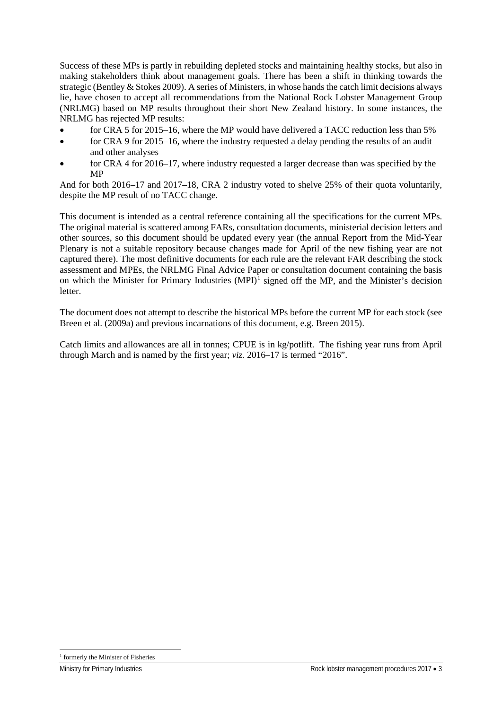Success of these MPs is partly in rebuilding depleted stocks and maintaining healthy stocks, but also in making stakeholders think about management goals. There has been a shift in thinking towards the strategic (Bentley & Stokes 2009). A series of Ministers, in whose hands the catch limit decisions always lie, have chosen to accept all recommendations from the National Rock Lobster Management Group (NRLMG) based on MP results throughout their short New Zealand history. In some instances, the NRLMG has rejected MP results:

- for CRA 5 for 2015–16, where the MP would have delivered a TACC reduction less than 5%
- for CRA 9 for 2015–16, where the industry requested a delay pending the results of an audit and other analyses
- for CRA 4 for 2016–17, where industry requested a larger decrease than was specified by the MP

And for both 2016–17 and 2017–18, CRA 2 industry voted to shelve 25% of their quota voluntarily, despite the MP result of no TACC change.

This document is intended as a central reference containing all the specifications for the current MPs. The original material is scattered among FARs, consultation documents, ministerial decision letters and other sources, so this document should be updated every year (the annual Report from the Mid-Year Plenary is not a suitable repository because changes made for April of the new fishing year are not captured there). The most definitive documents for each rule are the relevant FAR describing the stock assessment and MPEs, the NRLMG Final Advice Paper or consultation document containing the basis on which the Minister for Primary Industries (MPI)<sup>[1](#page-6-0)</sup> signed off the MP, and the Minister's decision letter.

The document does not attempt to describe the historical MPs before the current MP for each stock (see Breen et al. (2009a) and previous incarnations of this document, e.g. Breen 2015).

Catch limits and allowances are all in tonnes; CPUE is in kg/potlift. The fishing year runs from April through March and is named by the first year; *viz.* 2016–17 is termed "2016".

<span id="page-6-0"></span><sup>&</sup>lt;sup>1</sup> formerly the Minister of Fisheries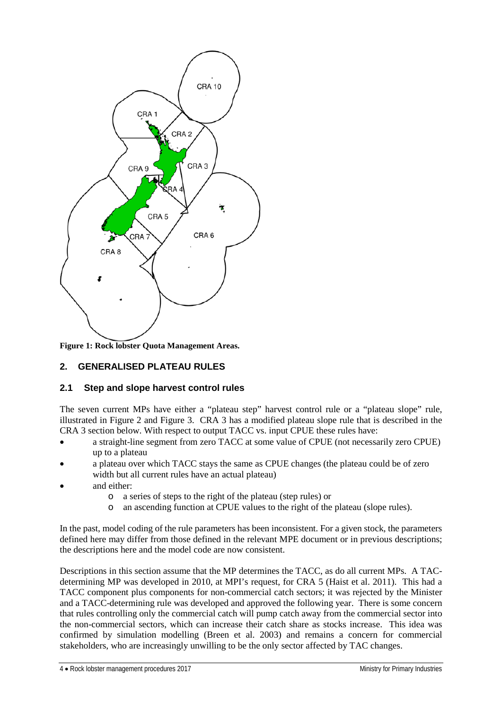

**Figure 1: Rock lobster Quota Management Areas.**

## **2. GENERALISED PLATEAU RULES**

## **2.1 Step and slope harvest control rules**

The seven current MPs have either a "plateau step" harvest control rule or a "plateau slope" rule, illustrated in Figure 2 and Figure 3. CRA 3 has a modified plateau slope rule that is described in the CRA 3 section below. With respect to output TACC vs. input CPUE these rules have:

- a straight-line segment from zero TACC at some value of CPUE (not necessarily zero CPUE) up to a plateau
- a plateau over which TACC stays the same as CPUE changes (the plateau could be of zero width but all current rules have an actual plateau)
- and either:
	- o a series of steps to the right of the plateau (step rules) or
	- o an ascending function at CPUE values to the right of the plateau (slope rules).

In the past, model coding of the rule parameters has been inconsistent. For a given stock, the parameters defined here may differ from those defined in the relevant MPE document or in previous descriptions; the descriptions here and the model code are now consistent.

Descriptions in this section assume that the MP determines the TACC, as do all current MPs. A TACdetermining MP was developed in 2010, at MPI's request, for CRA 5 (Haist et al. 2011). This had a TACC component plus components for non-commercial catch sectors; it was rejected by the Minister and a TACC-determining rule was developed and approved the following year. There is some concern that rules controlling only the commercial catch will pump catch away from the commercial sector into the non-commercial sectors, which can increase their catch share as stocks increase. This idea was confirmed by simulation modelling (Breen et al. 2003) and remains a concern for commercial stakeholders, who are increasingly unwilling to be the only sector affected by TAC changes.

4 • Rock lobster management procedures 2017 Ministry for Primary Industries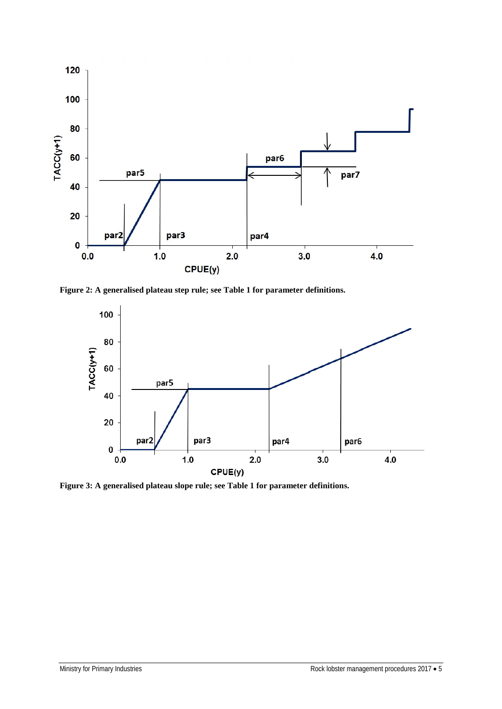

**Figure 2: A generalised plateau step rule; see Table 1 for parameter definitions.**



**Figure 3: A generalised plateau slope rule; see Table 1 for parameter definitions.**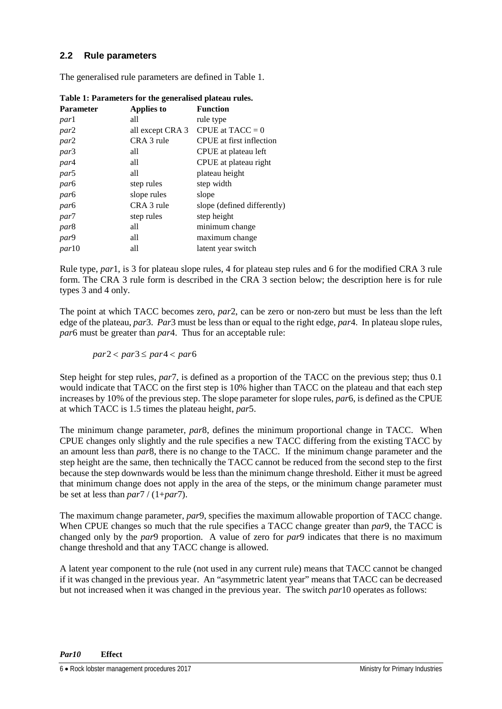## **2.2 Rule parameters**

The generalised rule parameters are defined in Table 1.

| <b>Parameter</b> | Applies to       | <b>Function</b>             |
|------------------|------------------|-----------------------------|
| parl             | all              | rule type                   |
| par2             | all except CRA 3 | CPUE at $TACC = 0$          |
| par2             | CRA 3 rule       | CPUE at first inflection    |
| par3             | all              | CPUE at plateau left        |
| par4             | all              | CPUE at plateau right       |
| par <sub>5</sub> | all              | plateau height              |
| par <sub>6</sub> | step rules       | step width                  |
| par <sub>6</sub> | slope rules      | slope                       |
| par <sub>6</sub> | CRA 3 rule       | slope (defined differently) |
| par7             | step rules       | step height                 |
| par <sub>8</sub> | all              | minimum change              |
| par9             | all              | maximum change              |
| <i>par</i> 10    | all              | latent year switch          |

**Table 1: Parameters for the generalised plateau rules.**

Rule type, *par*1, is 3 for plateau slope rules, 4 for plateau step rules and 6 for the modified CRA 3 rule form. The CRA 3 rule form is described in the CRA 3 section below; the description here is for rule types 3 and 4 only.

The point at which TACC becomes zero, *par*2, can be zero or non-zero but must be less than the left edge of the plateau, *par*3. *Par*3 must be less than or equal to the right edge, *par*4. In plateau slope rules, *par*6 must be greater than *par*4. Thus for an acceptable rule:

 $par2 < par3 \leq par4 < par6$ 

Step height for step rules, *par*7, is defined as a proportion of the TACC on the previous step; thus 0.1 would indicate that TACC on the first step is 10% higher than TACC on the plateau and that each step increases by 10% of the previous step. The slope parameter for slope rules, *par*6, is defined as the CPUE at which TACC is 1.5 times the plateau height, *par*5.

The minimum change parameter, *par*8, defines the minimum proportional change in TACC. When CPUE changes only slightly and the rule specifies a new TACC differing from the existing TACC by an amount less than *par*8, there is no change to the TACC. If the minimum change parameter and the step height are the same, then technically the TACC cannot be reduced from the second step to the first because the step downwards would be less than the minimum change threshold. Either it must be agreed that minimum change does not apply in the area of the steps, or the minimum change parameter must be set at less than *par*7 / (1+*par*7).

The maximum change parameter, *par*9, specifies the maximum allowable proportion of TACC change. When CPUE changes so much that the rule specifies a TACC change greater than *par*9, the TACC is changed only by the *par*9 proportion. A value of zero for *par*9 indicates that there is no maximum change threshold and that any TACC change is allowed.

A latent year component to the rule (not used in any current rule) means that TACC cannot be changed if it was changed in the previous year. An "asymmetric latent year" means that TACC can be decreased but not increased when it was changed in the previous year. The switch *par*10 operates as follows: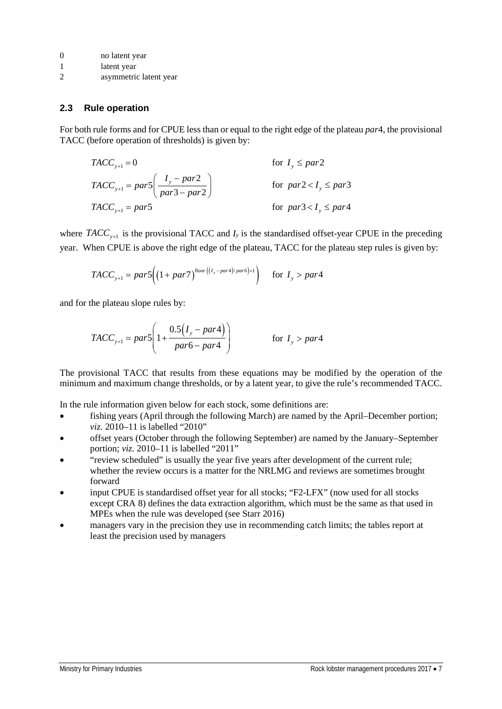- 1 latent year
- 2 asymmetric latent year

#### **2.3 Rule operation**

For both rule forms and for CPUE less than or equal to the right edge of the plateau *par*4, the provisional TACC (before operation of thresholds) is given by:

$$
TACC_{y+1} = 0 \tfor I_y \leq par2
$$
  
\n
$$
TACC_{y+1} = par5 \left( \frac{I_y - par2}{par3 - par2} \right) \tfor par2 < I_y \leq par3
$$
  
\n
$$
TACC_{y+1} = par5 \tfor par3 < I_y \leq par4
$$

where  $TACC_{v+1}$  is the provisional TACC and  $I_y$  is the standardised offset-year CPUE in the preceding year. When CPUE is above the right edge of the plateau, TACC for the plateau step rules is given by:

$$
TACC_{y+1} = par5\Big((1+par7)^{\text{floor}\left((I_y-par6)+1\right)} \quad \text{for } I_y > par4
$$

and for the plateau slope rules by:

$$
TACC_{y+1} = par5\left(1 + \frac{0.5(I_y - par4)}{par6 - par4}\right) \qquad \text{for } I_y > par4
$$

The provisional TACC that results from these equations may be modified by the operation of the minimum and maximum change thresholds, or by a latent year, to give the rule's recommended TACC.

In the rule information given below for each stock, some definitions are:

- fishing years (April through the following March) are named by the April–December portion; *viz.* 2010–11 is labelled "2010"
- offset years (October through the following September) are named by the January–September portion; *viz.* 2010–11 is labelled "2011"
- "review scheduled" is usually the year five years after development of the current rule; whether the review occurs is a matter for the NRLMG and reviews are sometimes brought forward
- input CPUE is standardised offset year for all stocks; "F2-LFX" (now used for all stocks except CRA 8) defines the data extraction algorithm, which must be the same as that used in MPEs when the rule was developed (see Starr 2016)
- managers vary in the precision they use in recommending catch limits; the tables report at least the precision used by managers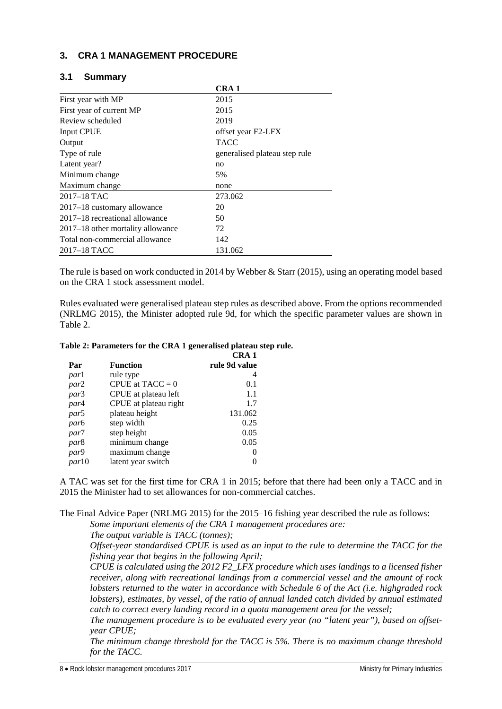## **3. CRA 1 MANAGEMENT PROCEDURE**

| 3.1 | <b>Summary</b> |
|-----|----------------|
|-----|----------------|

|                                   | CRA <sub>1</sub>              |  |
|-----------------------------------|-------------------------------|--|
| First year with MP                | 2015                          |  |
| First year of current MP          | 2015                          |  |
| Review scheduled                  | 2019                          |  |
| <b>Input CPUE</b>                 | offset year F2-LFX            |  |
| Output                            | <b>TACC</b>                   |  |
| Type of rule                      | generalised plateau step rule |  |
| Latent year?                      | no                            |  |
| Minimum change                    | 5%                            |  |
| Maximum change                    | none                          |  |
| $2017 - 18$ TAC                   | 273.062                       |  |
| 2017-18 customary allowance       | 20                            |  |
| 2017–18 recreational allowance    | 50                            |  |
| 2017–18 other mortality allowance | 72                            |  |
| Total non-commercial allowance    | 142                           |  |
| 2017–18 TACC                      | 131.062                       |  |

The rule is based on work conducted in 2014 by Webber & Starr (2015), using an operating model based on the CRA 1 stock assessment model.

Rules evaluated were generalised plateau step rules as described above. From the options recommended (NRLMG 2015), the Minister adopted rule 9d, for which the specific parameter values are shown in Table 2.

|  | Table 2: Parameters for the CRA 1 generalised plateau step rule. |
|--|------------------------------------------------------------------|
|--|------------------------------------------------------------------|

|                  |                       | CRA 1         |
|------------------|-----------------------|---------------|
| Par              | <b>Function</b>       | rule 9d value |
| <i>parl</i>      | rule type             | 4             |
| par2             | CPUE at $TACC = 0$    | 0.1           |
| par3             | CPUE at plateau left  | 1.1           |
| par4             | CPUE at plateau right | 1.7           |
| par <sup>5</sup> | plateau height        | 131.062       |
| par <sub>6</sub> | step width            | 0.25          |
| par7             | step height           | 0.05          |
| par <sub>8</sub> | minimum change        | 0.05          |
| par9             | maximum change        | 0             |
| par10            | latent year switch    |               |

A TAC was set for the first time for CRA 1 in 2015; before that there had been only a TACC and in 2015 the Minister had to set allowances for non-commercial catches.

The Final Advice Paper (NRLMG 2015) for the 2015–16 fishing year described the rule as follows:

*Some important elements of the CRA 1 management procedures are:*

*The output variable is TACC (tonnes);*

*Offset-year standardised CPUE is used as an input to the rule to determine the TACC for the fishing year that begins in the following April;*

*CPUE is calculated using the 2012 F2\_LFX procedure which uses landings to a licensed fisher receiver, along with recreational landings from a commercial vessel and the amount of rock lobsters returned to the water in accordance with Schedule 6 of the Act (i.e. highgraded rock lobsters), estimates, by vessel, of the ratio of annual landed catch divided by annual estimated catch to correct every landing record in a quota management area for the vessel;*

*The management procedure is to be evaluated every year (no "latent year"), based on offsetyear CPUE;*

*The minimum change threshold for the TACC is 5%. There is no maximum change threshold for the TACC.*

8 • Rock lobster management procedures 2017 and the state of the state of Ministry for Primary Industries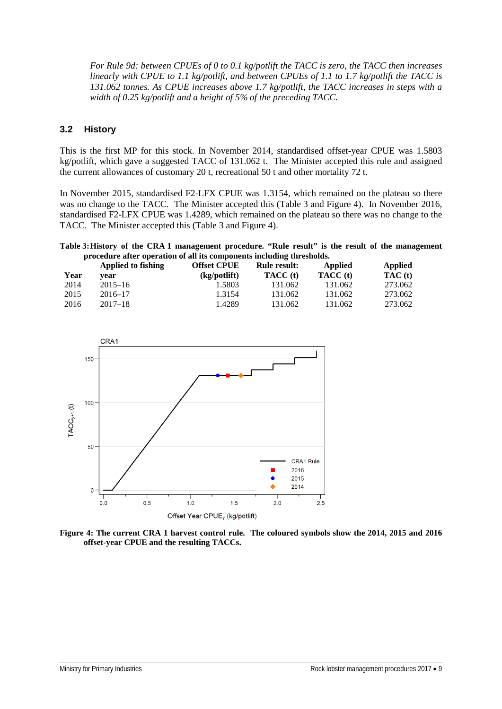*For Rule 9d: between CPUEs of 0 to 0.1 kg/potlift the TACC is zero, the TACC then increases linearly with CPUE to 1.1 kg/potlift, and between CPUEs of 1.1 to 1.7 kg/potlift the TACC is 131.062 tonnes. As CPUE increases above 1.7 kg/potlift, the TACC increases in steps with a width of 0.25 kg/potlift and a height of 5% of the preceding TACC.*

## **3.2 History**

This is the first MP for this stock. In November 2014, standardised offset-year CPUE was 1.5803 kg/potlift, which gave a suggested TACC of 131.062 t. The Minister accepted this rule and assigned the current allowances of customary 20 t, recreational 50 t and other mortality 72 t.

In November 2015, standardised F2-LFX CPUE was 1.3154, which remained on the plateau so there was no change to the TACC. The Minister accepted this (Table 3 and Figure 4). In November 2016, standardised F2-LFX CPUE was 1.4289, which remained on the plateau so there was no change to the TACC. The Minister accepted this (Table 3 and Figure 4).

#### **Table 3:History of the CRA 1 management procedure. "Rule result" is the result of the management procedure after operation of all its components including thresholds.**

|      | Applied to fishing | <b>Offset CPUE</b> | <b>Rule result:</b> | Applied  | Applied |
|------|--------------------|--------------------|---------------------|----------|---------|
| Year | vear               | (kg/potlift)       | <b>TACC</b> (t)     | TACC (t) | TAC(t)  |
| 2014 | $2015 - 16$        | 1.5803             | 131.062             | 131.062  | 273.062 |
| 2015 | $2016 - 17$        | 1.3154             | 131.062             | 131.062  | 273.062 |
| 2016 | $2017 - 18$        | 1.4289             | 131.062             | 131.062  | 273.062 |



**Figure 4: The current CRA 1 harvest control rule. The coloured symbols show the 2014, 2015 and 2016 offset-year CPUE and the resulting TACCs.**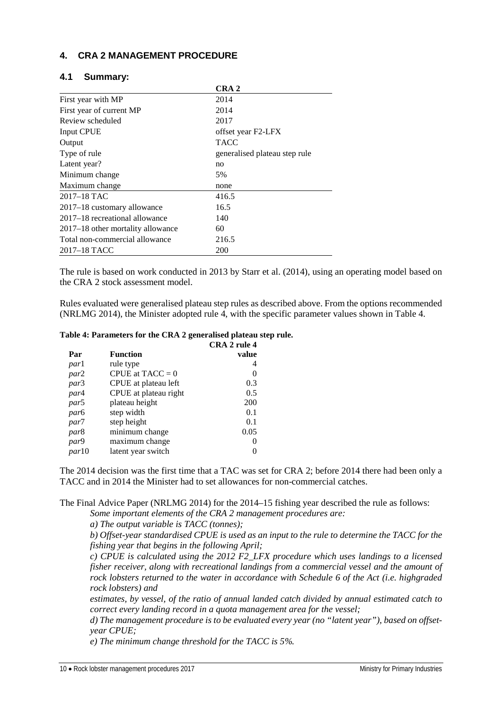## **4. CRA 2 MANAGEMENT PROCEDURE**

|                                   | CRA <sub>2</sub>              |
|-----------------------------------|-------------------------------|
| First year with MP                | 2014                          |
| First year of current MP          | 2014                          |
| Review scheduled                  | 2017                          |
| <b>Input CPUE</b>                 | offset year F2-LFX            |
| Output                            | <b>TACC</b>                   |
| Type of rule                      | generalised plateau step rule |
| Latent year?                      | no                            |
| Minimum change                    | 5%                            |
| Maximum change                    | none                          |
| 2017-18 TAC                       | 416.5                         |
| 2017-18 customary allowance       | 16.5                          |
| 2017–18 recreational allowance    | 140                           |
| 2017–18 other mortality allowance | 60                            |
| Total non-commercial allowance    | 216.5                         |
| 2017–18 TACC                      | 200                           |

#### **4.1 Summary:**

The rule is based on work conducted in 2013 by Starr et al. (2014), using an operating model based on the CRA 2 stock assessment model.

Rules evaluated were generalised plateau step rules as described above. From the options recommended (NRLMG 2014), the Minister adopted rule 4, with the specific parameter values shown in Table 4.

#### **Table 4: Parameters for the CRA 2 generalised plateau step rule.**

|                       | CRA 2 rule 4 |
|-----------------------|--------------|
| <b>Function</b>       | value        |
| rule type             | 4            |
| CPUE at $TACC = 0$    | 0            |
| CPUE at plateau left  | 0.3          |
| CPUE at plateau right | 0.5          |
| plateau height        | 200          |
| step width            | 0.1          |
| step height           | 0.1          |
| minimum change        | 0.05         |
| maximum change        | $\mathbf{0}$ |
| latent year switch    |              |
|                       |              |

The 2014 decision was the first time that a TAC was set for CRA 2; before 2014 there had been only a TACC and in 2014 the Minister had to set allowances for non-commercial catches.

The Final Advice Paper (NRLMG 2014) for the 2014–15 fishing year described the rule as follows:

*Some important elements of the CRA 2 management procedures are:*

*a) The output variable is TACC (tonnes);*

*b) Offset-year standardised CPUE is used as an input to the rule to determine the TACC for the fishing year that begins in the following April;*

*c) CPUE is calculated using the 2012 F2\_LFX procedure which uses landings to a licensed fisher receiver, along with recreational landings from a commercial vessel and the amount of rock lobsters returned to the water in accordance with Schedule 6 of the Act (i.e. highgraded rock lobsters) and*

*estimates, by vessel, of the ratio of annual landed catch divided by annual estimated catch to correct every landing record in a quota management area for the vessel;*

*d) The management procedure is to be evaluated every year (no "latent year"), based on offsetyear CPUE;*

*e) The minimum change threshold for the TACC is 5%.*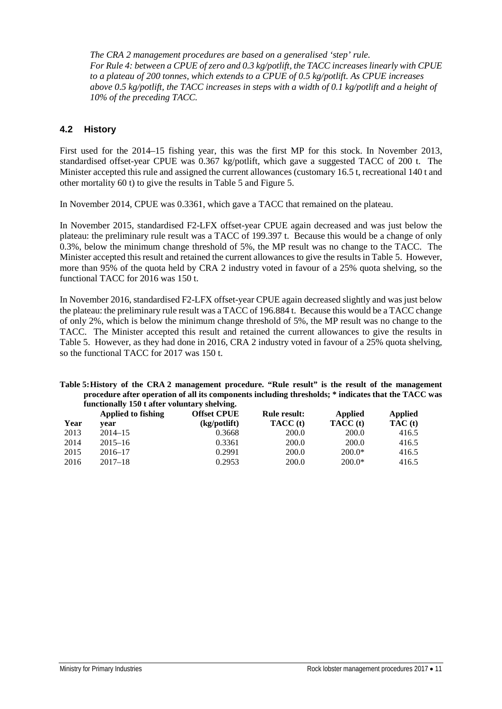*The CRA 2 management procedures are based on a generalised 'step' rule. For Rule 4: between a CPUE of zero and 0.3 kg/potlift, the TACC increases linearly with CPUE to a plateau of 200 tonnes, which extends to a CPUE of 0.5 kg/potlift. As CPUE increases above 0.5 kg/potlift, the TACC increases in steps with a width of 0.1 kg/potlift and a height of 10% of the preceding TACC.*

## **4.2 History**

First used for the 2014–15 fishing year, this was the first MP for this stock. In November 2013, standardised offset-year CPUE was 0.367 kg/potlift, which gave a suggested TACC of 200 t. The Minister accepted this rule and assigned the current allowances (customary 16.5 t, recreational 140 t and other mortality 60 t) to give the results in Table 5 and Figure 5.

In November 2014, CPUE was 0.3361, which gave a TACC that remained on the plateau.

In November 2015, standardised F2-LFX offset-year CPUE again decreased and was just below the plateau: the preliminary rule result was a TACC of 199.397 t. Because this would be a change of only 0.3%, below the minimum change threshold of 5%, the MP result was no change to the TACC. The Minister accepted this result and retained the current allowances to give the results in Table 5. However, more than 95% of the quota held by CRA 2 industry voted in favour of a 25% quota shelving, so the functional TACC for 2016 was 150 t.

In November 2016, standardised F2-LFX offset-year CPUE again decreased slightly and was just below the plateau: the preliminary rule result was a TACC of 196.884 t. Because this would be a TACC change of only 2%, which is below the minimum change threshold of 5%, the MP result was no change to the TACC. The Minister accepted this result and retained the current allowances to give the results in Table 5. However, as they had done in 2016, CRA 2 industry voted in favour of a 25% quota shelving, so the functional TACC for 2017 was 150 t.

**Table 5:History of the CRA 2 management procedure. "Rule result" is the result of the management procedure after operation of all its components including thresholds; \* indicates that the TACC was functionally 150 t after voluntary shelving.**

| Year | Applied to fishing<br>vear | <b>Offset CPUE</b><br>(kg/potlift) | <b>Rule result:</b><br>TACC (t) | <b>Applied</b><br>TACC (t) | <b>Applied</b><br>TAC(t) |
|------|----------------------------|------------------------------------|---------------------------------|----------------------------|--------------------------|
| 2013 | $2014 - 15$                | 0.3668                             | 200.0                           | 200.0                      | 416.5                    |
| 2014 | $2015 - 16$                | 0.3361                             | 200.0                           | 200.0                      | 416.5                    |
| 2015 | $2016 - 17$                | 0.2991                             | 200.0                           | $200.0*$                   | 416.5                    |
| 2016 | $2017 - 18$                | 0.2953                             | 200.0                           | $200.0*$                   | 416.5                    |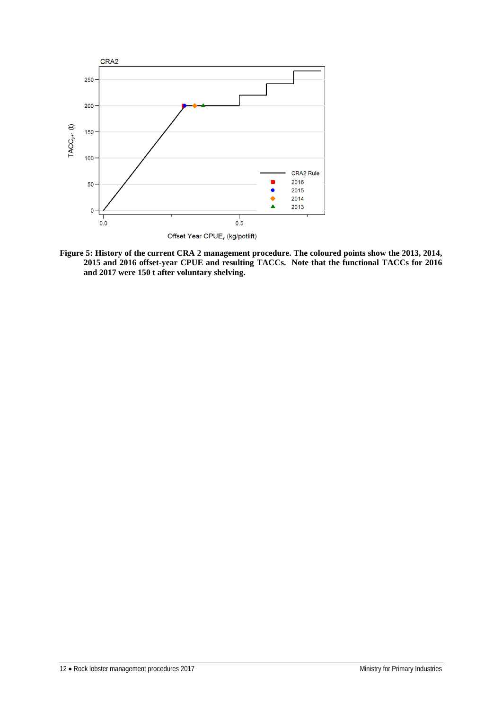

**Figure 5: History of the current CRA 2 management procedure. The coloured points show the 2013, 2014, 2015 and 2016 offset-year CPUE and resulting TACCs. Note that the functional TACCs for 2016 and 2017 were 150 t after voluntary shelving.**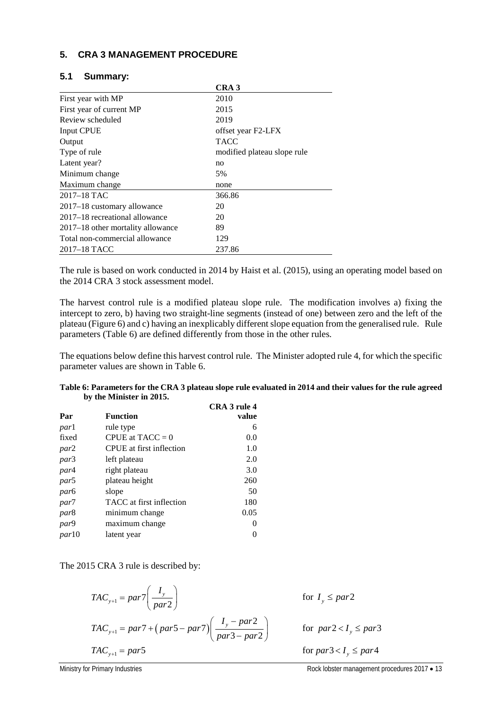## **5. CRA 3 MANAGEMENT PROCEDURE**

| 5.1 | <b>Summary:</b> |
|-----|-----------------|
|-----|-----------------|

|                                   | CRA <sub>3</sub>            |
|-----------------------------------|-----------------------------|
| First year with MP                | 2010                        |
| First year of current MP          | 2015                        |
| Review scheduled                  | 2019                        |
| <b>Input CPUE</b>                 | offset year F2-LFX          |
| Output                            | <b>TACC</b>                 |
| Type of rule                      | modified plateau slope rule |
| Latent year?                      | no                          |
| Minimum change                    | 5%                          |
| Maximum change                    | none                        |
| $2017 - 18$ TAC                   | 366.86                      |
| 2017–18 customary allowance       | 20                          |
| 2017–18 recreational allowance    | 20                          |
| 2017–18 other mortality allowance | 89                          |
| Total non-commercial allowance    | 129                         |
| 2017–18 TACC                      | 237.86                      |

The rule is based on work conducted in 2014 by Haist et al. (2015), using an operating model based on the 2014 CRA 3 stock assessment model.

The harvest control rule is a modified plateau slope rule. The modification involves a) fixing the intercept to zero, b) having two straight-line segments (instead of one) between zero and the left of the plateau (Figure 6) and c) having an inexplicably different slope equation from the generalised rule. Rule parameters (Table 6) are defined differently from those in the other rules.

The equations below define this harvest control rule. The Minister adopted rule 4, for which the specific parameter values are shown in Table 6.

|                          | Table 6: Parameters for the CRA 3 plateau slope rule evaluated in 2014 and their values for the rule agreed |  |
|--------------------------|-------------------------------------------------------------------------------------------------------------|--|
| by the Minister in 2015. |                                                                                                             |  |

|                  |                          | CRA 3 rule 4 |
|------------------|--------------------------|--------------|
| Par              | <b>Function</b>          | value        |
| parl             | rule type                | 6            |
| fixed            | CPUE at $TACC = 0$       | 0.0          |
| par2             | CPUE at first inflection | 1.0          |
| par3             | left plateau             | 2.0          |
| par4             | right plateau            | 3.0          |
| par <sub>5</sub> | plateau height           | 260          |
| par <sub>6</sub> | slope                    | 50           |
| par <sup>7</sup> | TACC at first inflection | 180          |
| par <sub>8</sub> | minimum change           | 0.05         |
| par9             | maximum change           | $\Omega$     |
| <i>par</i> 10    | latent year              | 0            |

The 2015 CRA 3 rule is described by:

$$
TAC_{y+1} = par7\left(\frac{I_y}{par2}\right) \qquad \text{for } I_y \leq par2
$$
\n
$$
TAC_{y+1} = par7 + (par5 - par7)\left(\frac{I_y - par2}{par3 - par2}\right) \qquad \text{for } par2 < I_y \leq par3
$$
\n
$$
TAC_{y+1} = par5 \qquad \text{for } par3 < I_y \leq par4
$$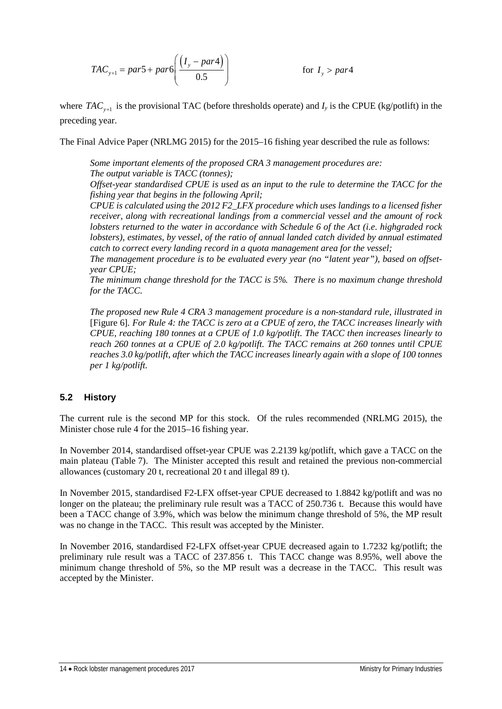$$
TAC_{y+1} = par5 + par6 \left( \frac{(I_y - par4)}{0.5} \right) \qquad \text{for } I_y > par4
$$

where  $TAC_{y+1}$  is the provisional TAC (before thresholds operate) and  $I_y$  is the CPUE (kg/potlift) in the preceding year.

The Final Advice Paper (NRLMG 2015) for the 2015–16 fishing year described the rule as follows:

*Some important elements of the proposed CRA 3 management procedures are: The output variable is TACC (tonnes);*

*Offset-year standardised CPUE is used as an input to the rule to determine the TACC for the fishing year that begins in the following April;*

*CPUE is calculated using the 2012 F2\_LFX procedure which uses landings to a licensed fisher receiver, along with recreational landings from a commercial vessel and the amount of rock lobsters returned to the water in accordance with Schedule 6 of the Act (i.e. highgraded rock lobsters), estimates, by vessel, of the ratio of annual landed catch divided by annual estimated catch to correct every landing record in a quota management area for the vessel;*

*The management procedure is to be evaluated every year (no "latent year"), based on offsetyear CPUE;*

*The minimum change threshold for the TACC is 5%. There is no maximum change threshold for the TACC.*

*The proposed new Rule 4 CRA 3 management procedure is a non-standard rule, illustrated in* [Figure 6]*. For Rule 4: the TACC is zero at a CPUE of zero, the TACC increases linearly with CPUE, reaching 180 tonnes at a CPUE of 1.0 kg/potlift. The TACC then increases linearly to reach 260 tonnes at a CPUE of 2.0 kg/potlift. The TACC remains at 260 tonnes until CPUE reaches 3.0 kg/potlift, after which the TACC increases linearly again with a slope of 100 tonnes per 1 kg/potlift.*

## **5.2 History**

The current rule is the second MP for this stock. Of the rules recommended (NRLMG 2015), the Minister chose rule 4 for the 2015–16 fishing year.

In November 2014, standardised offset-year CPUE was 2.2139 kg/potlift, which gave a TACC on the main plateau (Table 7). The Minister accepted this result and retained the previous non-commercial allowances (customary 20 t, recreational 20 t and illegal 89 t).

In November 2015, standardised F2-LFX offset-year CPUE decreased to 1.8842 kg/potlift and was no longer on the plateau; the preliminary rule result was a TACC of 250.736 t. Because this would have been a TACC change of 3.9%, which was below the minimum change threshold of 5%, the MP result was no change in the TACC. This result was accepted by the Minister.

In November 2016, standardised F2-LFX offset-year CPUE decreased again to 1.7232 kg/potlift; the preliminary rule result was a TACC of 237.856 t. This TACC change was 8.95%, well above the minimum change threshold of 5%, so the MP result was a decrease in the TACC. This result was accepted by the Minister.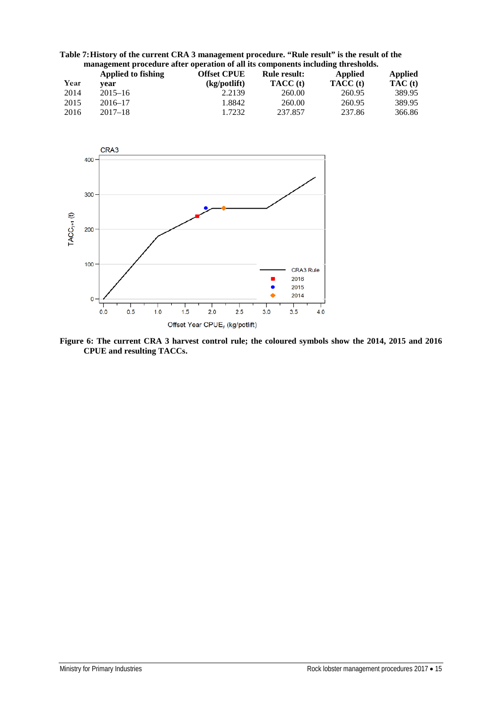| Table 7: History of the current CRA 3 management procedure. "Rule result" is the result of the |
|------------------------------------------------------------------------------------------------|
| management procedure after operation of all its components including thresholds.               |

|      | Applied to fishing | <b>Offset CPUE</b> | <b>Rule result:</b> | <b>Applied</b> | <b>Applied</b> |
|------|--------------------|--------------------|---------------------|----------------|----------------|
| Year | vear               | (kg/potlift)       | TACC (t)            | TACC (t)       | TAC(t)         |
| 2014 | $2015 - 16$        | 2.2139             | 260.00              | 260.95         | 389.95         |
| 2015 | $2016 - 17$        | 1.8842             | 260.00              | 260.95         | 389.95         |
| 2016 | $2017 - 18$        | 1.7232             | 237.857             | 237.86         | 366.86         |



**Figure 6: The current CRA 3 harvest control rule; the coloured symbols show the 2014, 2015 and 2016 CPUE and resulting TACCs.**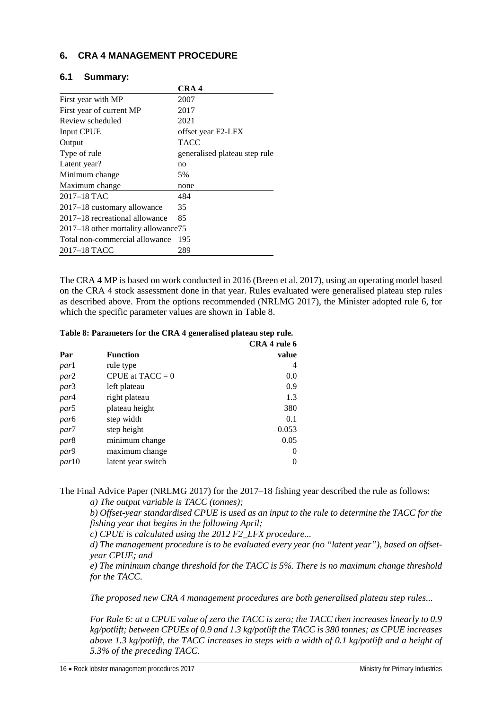## **6. CRA 4 MANAGEMENT PROCEDURE**

### **6.1 Summary:**

|                                      | CRA 4                         |
|--------------------------------------|-------------------------------|
| First year with MP                   | 2007                          |
| First year of current MP             | 2017                          |
| Review scheduled                     | 2021                          |
| Input CPUE                           | offset year F2-LFX            |
| Output                               | TACC                          |
| Type of rule                         | generalised plateau step rule |
| Latent year?                         | no                            |
| Minimum change                       | 5%                            |
| Maximum change                       | none                          |
| 2017–18 TAC                          | 484                           |
| 2017–18 customary allowance          | 35                            |
| 2017–18 recreational allowance       | 85                            |
| 2017–18 other mortality allowance 75 |                               |
| Total non-commercial allowance       | 195                           |
| 2017–18 TACC                         | 289                           |

The CRA 4 MP is based on work conducted in 2016 (Breen et al. 2017), using an operating model based on the CRA 4 stock assessment done in that year. Rules evaluated were generalised plateau step rules as described above. From the options recommended (NRLMG 2017), the Minister adopted rule 6, for which the specific parameter values are shown in Table 8.

#### **Table 8: Parameters for the CRA 4 generalised plateau step rule.**

|                    | CRA 4 rule 6 |
|--------------------|--------------|
| <b>Function</b>    | value        |
| rule type          | 4            |
| CPUE at $TACC = 0$ | 0.0          |
| left plateau       | 0.9          |
| right plateau      | 1.3          |
| plateau height     | 380          |
| step width         | 0.1          |
| step height        | 0.053        |
| minimum change     | 0.05         |
| maximum change     | $\theta$     |
| latent year switch | $\theta$     |
|                    |              |

The Final Advice Paper (NRLMG 2017) for the 2017–18 fishing year described the rule as follows: *a) The output variable is TACC (tonnes);*

*b) Offset-year standardised CPUE is used as an input to the rule to determine the TACC for the fishing year that begins in the following April;*

*c) CPUE is calculated using the 2012 F2\_LFX procedure...*

*d) The management procedure is to be evaluated every year (no "latent year"), based on offsetyear CPUE; and*

*e) The minimum change threshold for the TACC is 5%. There is no maximum change threshold for the TACC.*

*The proposed new CRA 4 management procedures are both generalised plateau step rules...*

*For Rule 6: at a CPUE value of zero the TACC is zero; the TACC then increases linearly to 0.9 kg/potlift; between CPUEs of 0.9 and 1.3 kg/potlift the TACC is 380 tonnes; as CPUE increases above 1.3 kg/potlift, the TACC increases in steps with a width of 0.1 kg/potlift and a height of 5.3% of the preceding TACC.*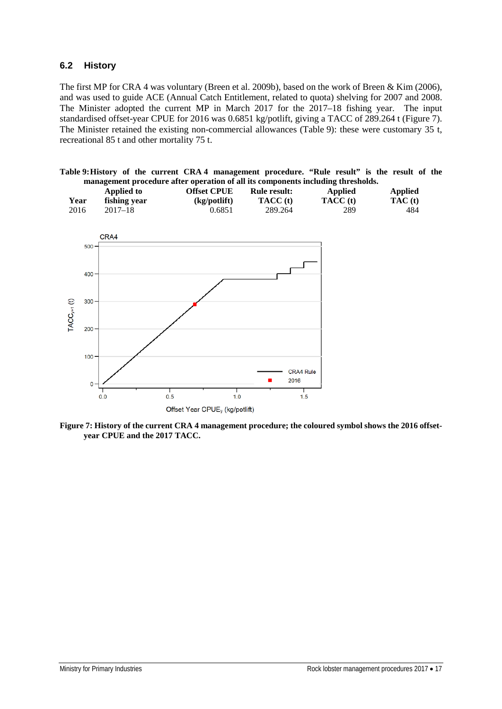## **6.2 History**

The first MP for CRA 4 was voluntary (Breen et al. 2009b), based on the work of Breen & Kim (2006), and was used to guide ACE (Annual Catch Entitlement, related to quota) shelving for 2007 and 2008. The Minister adopted the current MP in March 2017 for the 2017–18 fishing year. The input standardised offset-year CPUE for 2016 was 0.6851 kg/potlift, giving a TACC of 289.264 t (Figure 7). The Minister retained the existing non-commercial allowances (Table 9): these were customary 35 t, recreational 85 t and other mortality 75 t.

| Table 9: History of the current CRA 4 management procedure. "Rule result" is the result of the |  |                                                                                  |  |  |  |  |
|------------------------------------------------------------------------------------------------|--|----------------------------------------------------------------------------------|--|--|--|--|
|                                                                                                |  | management procedure after operation of all its components including thresholds. |  |  |  |  |

|      | Applied to   | <b>Offset CPUE</b> | <b>Rule result:</b> | Applied  | Applied |
|------|--------------|--------------------|---------------------|----------|---------|
| Year | fishing year | (kg/potlift)       | TACC (t)            | TACC (t) | TAC(t)  |
| 2016 | $2017 - 18$  | 0.6851             | 289.264             | 289      | 484     |



**Figure 7: History of the current CRA 4 management procedure; the coloured symbol shows the 2016 offsetyear CPUE and the 2017 TACC.**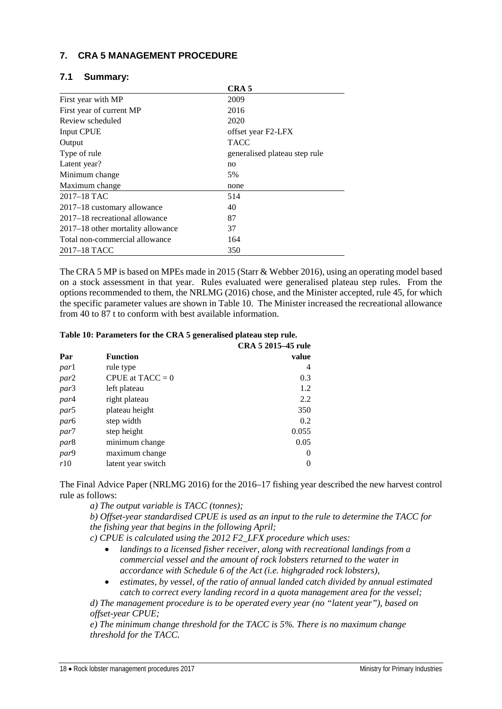## **7. CRA 5 MANAGEMENT PROCEDURE**

|                                   | CRA <sub>5</sub>              |
|-----------------------------------|-------------------------------|
| First year with MP                | 2009                          |
| First year of current MP          | 2016                          |
| Review scheduled                  | 2020                          |
| Input CPUE                        | offset year F2-LFX            |
| Output                            | <b>TACC</b>                   |
| Type of rule                      | generalised plateau step rule |
| Latent year?                      | no                            |
| Minimum change                    | 5%                            |
| Maximum change                    | none                          |
| $2017 - 18$ TAC                   | 514                           |
| 2017–18 customary allowance       | 40                            |
| 2017–18 recreational allowance    | 87                            |
| 2017–18 other mortality allowance | 37                            |
| Total non-commercial allowance    | 164                           |
| 2017–18 TACC                      | 350                           |

#### **7.1 Summary:**

The CRA 5 MP is based on MPEs made in 2015 (Starr & Webber 2016), using an operating model based on a stock assessment in that year. Rules evaluated were generalised plateau step rules. From the options recommended to them, the NRLMG (2016) chose, and the Minister accepted, rule 45, for which the specific parameter values are shown in Table 10. The Minister increased the recreational allowance from 40 to 87 t to conform with best available information.

#### **Table 10: Parameters for the CRA 5 generalised plateau step rule.**

|                  |                    | CRA 5 2015–45 rule |
|------------------|--------------------|--------------------|
| Par              | <b>Function</b>    | value              |
| <i>par</i> 1     | rule type          | 4                  |
| par2             | CPUE at $TACC = 0$ | 0.3                |
| par3             | left plateau       | 1.2                |
| par4             | right plateau      | 2.2                |
| par5             | plateau height     | 350                |
| par <sub>6</sub> | step width         | 0.2                |
| par7             | step height        | 0.055              |
| par <sub>8</sub> | minimum change     | 0.05               |
| par9             | maximum change     | $\theta$           |
| r10              | latent year switch |                    |

The Final Advice Paper (NRLMG 2016) for the 2016–17 fishing year described the new harvest control rule as follows:

*a) The output variable is TACC (tonnes);*

*b) Offset-year standardised CPUE is used as an input to the rule to determine the TACC for the fishing year that begins in the following April;*

*c) CPUE is calculated using the 2012 F2\_LFX procedure which uses:*

- *landings to a licensed fisher receiver, along with recreational landings from a commercial vessel and the amount of rock lobsters returned to the water in accordance with Schedule 6 of the Act (i.e. highgraded rock lobsters),*
- *estimates, by vessel, of the ratio of annual landed catch divided by annual estimated catch to correct every landing record in a quota management area for the vessel;*

*d) The management procedure is to be operated every year (no "latent year"), based on offset-year CPUE;*

*e) The minimum change threshold for the TACC is 5%. There is no maximum change threshold for the TACC.*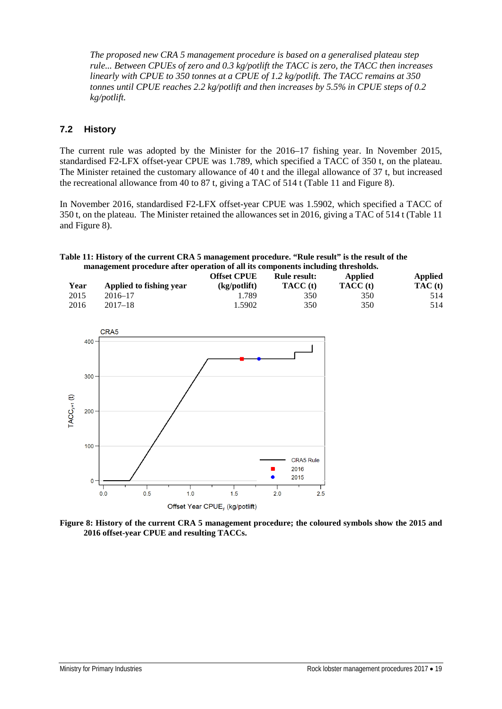*The proposed new CRA 5 management procedure is based on a generalised plateau step rule... Between CPUEs of zero and 0.3 kg/potlift the TACC is zero, the TACC then increases linearly with CPUE to 350 tonnes at a CPUE of 1.2 kg/potlift. The TACC remains at 350 tonnes until CPUE reaches 2.2 kg/potlift and then increases by 5.5% in CPUE steps of 0.2 kg/potlift.*

## **7.2 History**

The current rule was adopted by the Minister for the 2016–17 fishing year. In November 2015, standardised F2-LFX offset-year CPUE was 1.789, which specified a TACC of 350 t, on the plateau. The Minister retained the customary allowance of 40 t and the illegal allowance of 37 t, but increased the recreational allowance from 40 to 87 t, giving a TAC of 514 t [\(Table](#page-22-0) 11 and [Figure 8\)](#page-22-1).

In November 2016, standardised F2-LFX offset-year CPUE was 1.5902, which specified a TACC of 350 t, on the plateau. The Minister retained the allowances set in 2016, giving a TAC of 514 t [\(Table](#page-22-0) 11 and [Figure 8\)](#page-22-1).

<span id="page-22-0"></span>**Table 11: History of the current CRA 5 management procedure. "Rule result" is the result of the management procedure after operation of all its components including thresholds.**

|      |                         | <b>Offset CPUE</b> | <b>Rule result:</b> | Applied  | <b>Applied</b> |
|------|-------------------------|--------------------|---------------------|----------|----------------|
| Year | Applied to fishing year | (kg/potlift)       | TACC (t)            | TACC (t) | TAC(t)         |
| 2015 | 2016–17                 | . 789              | 350                 | 350      | 514            |
| 2016 | $2017 - 18$             | 1.5902             | 350                 | 350      | 514            |



<span id="page-22-1"></span>**Figure 8: History of the current CRA 5 management procedure; the coloured symbols show the 2015 and 2016 offset-year CPUE and resulting TACCs.**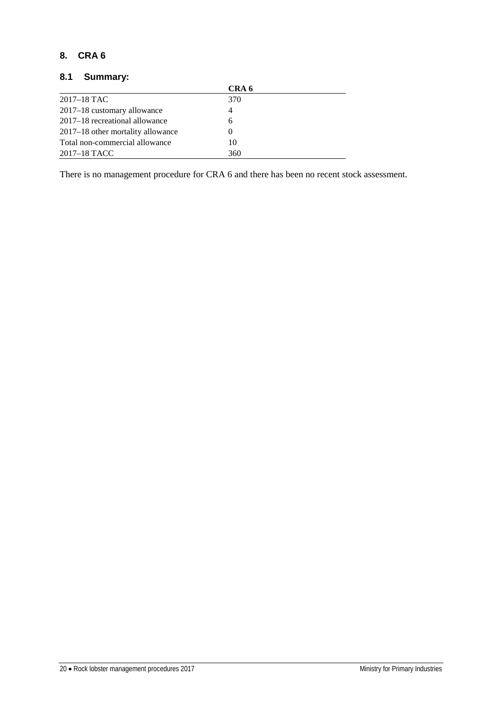## **8. CRA 6**

## **8.1 Summary:**

|                                   | CRA 6    |  |
|-----------------------------------|----------|--|
| $2017 - 18$ TAC                   | 370      |  |
| 2017–18 customary allowance       | 4        |  |
| 2017–18 recreational allowance    | 6        |  |
| 2017–18 other mortality allowance | $\theta$ |  |
| Total non-commercial allowance    | 10       |  |
| 2017–18 TACC                      | 360      |  |

There is no management procedure for CRA 6 and there has been no recent stock assessment.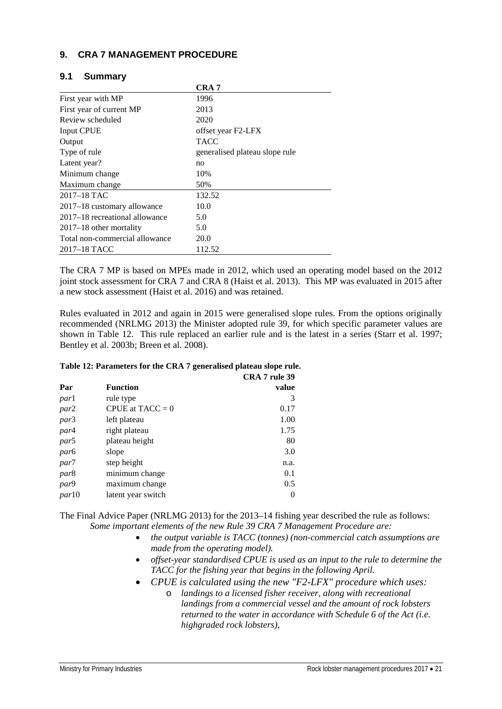## **9. CRA 7 MANAGEMENT PROCEDURE**

| 9.1 | <b>Summary</b> |
|-----|----------------|
|-----|----------------|

|                                | CRA <sub>7</sub>               |
|--------------------------------|--------------------------------|
| First year with MP             | 1996                           |
| First year of current MP       | 2013                           |
| Review scheduled               | 2020                           |
| <b>Input CPUE</b>              | offset year F2-LFX             |
| Output                         | <b>TACC</b>                    |
| Type of rule                   | generalised plateau slope rule |
| Latent year?                   | no                             |
| Minimum change                 | 10%                            |
| Maximum change                 | 50%                            |
| 2017–18 TAC                    | 132.52                         |
| 2017–18 customary allowance    | 10.0                           |
| 2017–18 recreational allowance | 5.0                            |
| $2017 - 18$ other mortality    | 5.0                            |
| Total non-commercial allowance | 20.0                           |
| 2017–18 TACC                   | 112.52                         |

The CRA 7 MP is based on MPEs made in 2012, which used an operating model based on the 2012 joint stock assessment for CRA 7 and CRA 8 (Haist et al. 2013). This MP was evaluated in 2015 after a new stock assessment (Haist et al. 2016) and was retained.

Rules evaluated in 2012 and again in 2015 were generalised slope rules. From the options originally recommended (NRLMG 2013) the Minister adopted rule 39, for which specific parameter values are shown in Table 12. This rule replaced an earlier rule and is the latest in a series (Starr et al. 1997; Bentley et al. 2003b; Breen et al. 2008).

| Table 12: Parameters for the CRA 7 generalised plateau slope rule. |  |
|--------------------------------------------------------------------|--|
|--------------------------------------------------------------------|--|

|                  |                    | CRA 7 rule 39 |
|------------------|--------------------|---------------|
| Par              | <b>Function</b>    | value         |
| <i>par</i> 1     | rule type          | 3             |
| par2             | CPUE at $TACC = 0$ | 0.17          |
| par3             | left plateau       | 1.00          |
| par4             | right plateau      | 1.75          |
| par5             | plateau height     | 80            |
| par <sub>6</sub> | slope              | 3.0           |
| par7             | step height        | n.a.          |
| par <sub>8</sub> | minimum change     | 0.1           |
| par9             | maximum change     | 0.5           |
| par10            | latent year switch | 0             |

The Final Advice Paper (NRLMG 2013) for the 2013–14 fishing year described the rule as follows: *Some important elements of the new Rule 39 CRA 7 Management Procedure are:*

- *the output variable is TACC (tonnes) (non-commercial catch assumptions are made from the operating model).*
- *offset-year standardised CPUE is used as an input to the rule to determine the TACC for the fishing year that begins in the following April.*
- *CPUE is calculated using the new "F2-LFX" procedure which uses:*
	- o *landings to a licensed fisher receiver, along with recreational landings from a commercial vessel and the amount of rock lobsters returned to the water in accordance with Schedule 6 of the Act (i.e. highgraded rock lobsters),*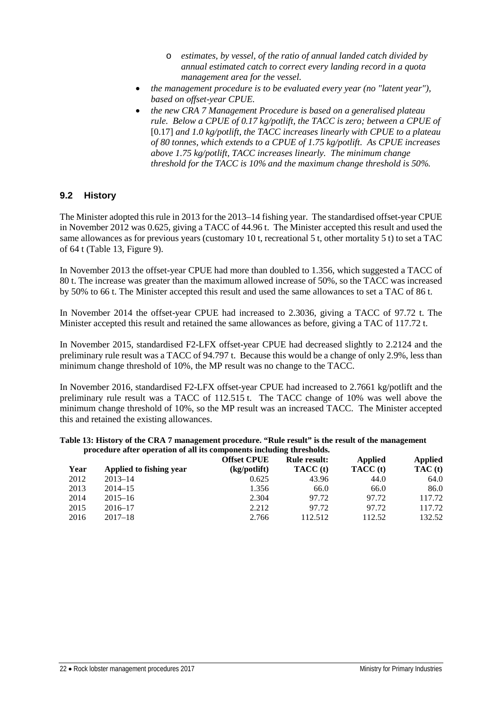- o *estimates, by vessel, of the ratio of annual landed catch divided by annual estimated catch to correct every landing record in a quota management area for the vessel.*
- *the management procedure is to be evaluated every year (no "latent year"), based on offset-year CPUE.*
- *the new CRA 7 Management Procedure is based on a generalised plateau rule. Below a CPUE of 0.17 kg/potlift, the TACC is zero; between a CPUE of*  [0.17] *and 1.0 kg/potlift, the TACC increases linearly with CPUE to a plateau of 80 tonnes, which extends to a CPUE of 1.75 kg/potlift. As CPUE increases above 1.75 kg/potlift, TACC increases linearly. The minimum change threshold for the TACC is 10% and the maximum change threshold is 50%.*

#### **9.2 History**

The Minister adopted this rule in 2013 for the 2013–14 fishing year. The standardised offset-year CPUE in November 2012 was 0.625, giving a TACC of 44.96 t. The Minister accepted this result and used the same allowances as for previous years (customary 10 t, recreational 5 t, other mortality 5 t) to set a TAC of 64 t (Table 13, Figure 9).

In November 2013 the offset-year CPUE had more than doubled to 1.356, which suggested a TACC of 80 t. The increase was greater than the maximum allowed increase of 50%, so the TACC was increased by 50% to 66 t. The Minister accepted this result and used the same allowances to set a TAC of 86 t.

In November 2014 the offset-year CPUE had increased to 2.3036, giving a TACC of 97.72 t. The Minister accepted this result and retained the same allowances as before, giving a TAC of 117.72 t.

In November 2015, standardised F2-LFX offset-year CPUE had decreased slightly to 2.2124 and the preliminary rule result was a TACC of 94.797 t. Because this would be a change of only 2.9%, less than minimum change threshold of 10%, the MP result was no change to the TACC.

In November 2016, standardised F2-LFX offset-year CPUE had increased to 2.7661 kg/potlift and the preliminary rule result was a TACC of 112.515 t. The TACC change of 10% was well above the minimum change threshold of 10%, so the MP result was an increased TACC. The Minister accepted this and retained the existing allowances.

#### **Table 13: History of the CRA 7 management procedure. "Rule result" is the result of the management procedure after operation of all its components including thresholds.**

|      |                         | <b>Offset CPUE</b> | <b>Rule result:</b> | <b>Applied</b> | Applied |
|------|-------------------------|--------------------|---------------------|----------------|---------|
| Year | Applied to fishing year | (kg/potlift)       | TACC (t)            | TACC (t)       | TAC(t)  |
| 2012 | $2013 - 14$             | 0.625              | 43.96               | 44.0           | 64.0    |
| 2013 | $2014 - 15$             | 1.356              | 66.0                | 66.0           | 86.0    |
| 2014 | $2015 - 16$             | 2.304              | 97.72               | 97.72          | 117.72  |
| 2015 | $2016 - 17$             | 2.212              | 97.72               | 97.72          | 117.72  |
| 2016 | $2017 - 18$             | 2.766              | 112.512             | 112.52         | 132.52  |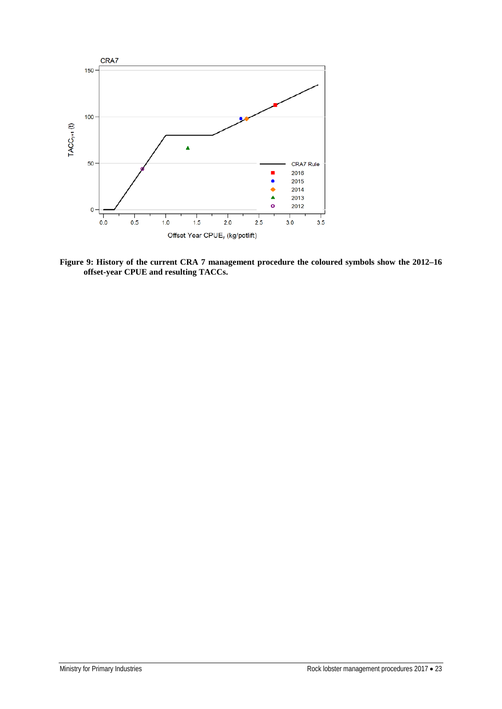

**Figure 9: History of the current CRA 7 management procedure the coloured symbols show the 2012–16 offset-year CPUE and resulting TACCs.**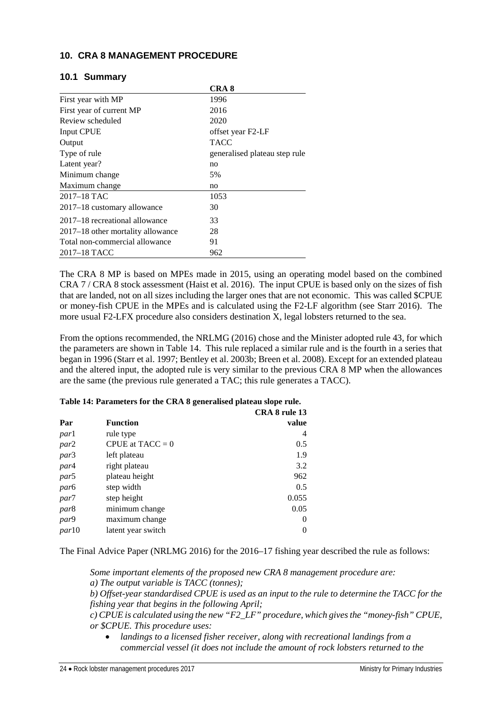## **10. CRA 8 MANAGEMENT PROCEDURE**

|  |  | 10.1 Summary |
|--|--|--------------|
|--|--|--------------|

|                                   | CRA <sub>8</sub>              |
|-----------------------------------|-------------------------------|
| First year with MP                | 1996                          |
| First year of current MP          | 2016                          |
| Review scheduled                  | 2020                          |
| Input CPUE                        | offset year F2-LF             |
| Output                            | <b>TACC</b>                   |
| Type of rule                      | generalised plateau step rule |
| Latent year?                      | no                            |
| Minimum change                    | 5%                            |
| Maximum change                    | no                            |
| 2017–18 TAC                       | 1053                          |
| 2017–18 customary allowance       | 30                            |
| 2017–18 recreational allowance    | 33                            |
| 2017–18 other mortality allowance | 28                            |
| Total non-commercial allowance    | 91                            |
| 2017–18 TACC                      | 962                           |

The CRA 8 MP is based on MPEs made in 2015, using an operating model based on the combined CRA 7 / CRA 8 stock assessment (Haist et al. 2016). The input CPUE is based only on the sizes of fish that are landed, not on all sizes including the larger ones that are not economic. This was called \$CPUE or money-fish CPUE in the MPEs and is calculated using the F2-LF algorithm (see Starr 2016). The more usual F2-LFX procedure also considers destination X, legal lobsters returned to the sea.

From the options recommended, the NRLMG (2016) chose and the Minister adopted rule 43, for which the parameters are shown in Table 14. This rule replaced a similar rule and is the fourth in a series that began in 1996 (Starr et al. 1997; Bentley et al. 2003b; Breen et al. 2008). Except for an extended plateau and the altered input, the adopted rule is very similar to the previous CRA 8 MP when the allowances are the same (the previous rule generated a TAC; this rule generates a TACC).

|  |  | Table 14: Parameters for the CRA 8 generalised plateau slope rule. |  |
|--|--|--------------------------------------------------------------------|--|
|  |  |                                                                    |  |

|                  |                    | CRA 8 rule 13 |
|------------------|--------------------|---------------|
| Par              | <b>Function</b>    | value         |
| <i>par</i> 1     | rule type          | 4             |
| par2             | CPUE at $TACC = 0$ | 0.5           |
| par3             | left plateau       | 1.9           |
| par4             | right plateau      | 3.2           |
| par5             | plateau height     | 962           |
| par <sub>6</sub> | step width         | 0.5           |
| par7             | step height        | 0.055         |
| par8             | minimum change     | 0.05          |
| par9             | maximum change     | $\theta$      |
| <i>par</i> 10    | latent year switch | 0             |

The Final Advice Paper (NRLMG 2016) for the 2016–17 fishing year described the rule as follows:

*Some important elements of the proposed new CRA 8 management procedure are: a) The output variable is TACC (tonnes);*

*b) Offset-year standardised CPUE is used as an input to the rule to determine the TACC for the fishing year that begins in the following April;*

*c) CPUE is calculated using the new "F2\_LF" procedure, which gives the "money-fish" CPUE, or \$CPUE. This procedure uses:*

• *landings to a licensed fisher receiver, along with recreational landings from a commercial vessel (it does not include the amount of rock lobsters returned to the*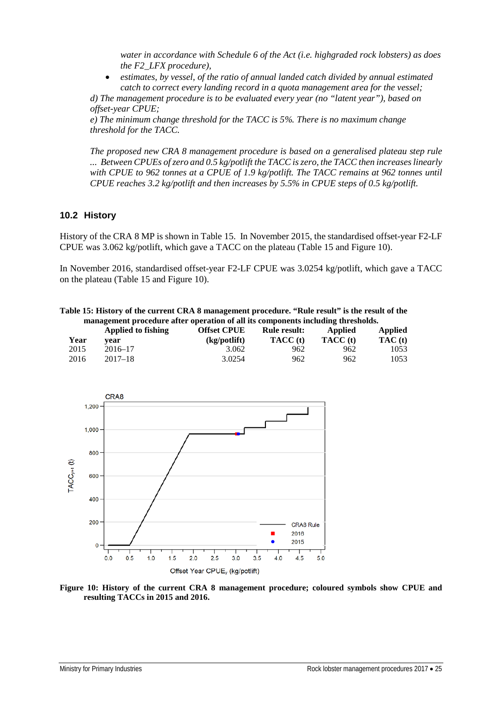*water in accordance with Schedule 6 of the Act (i.e. highgraded rock lobsters) as does the F2\_LFX procedure),*

• *estimates, by vessel, of the ratio of annual landed catch divided by annual estimated catch to correct every landing record in a quota management area for the vessel;* 

*d) The management procedure is to be evaluated every year (no "latent year"), based on offset-year CPUE;*

*e) The minimum change threshold for the TACC is 5%. There is no maximum change threshold for the TACC.*

*The proposed new CRA 8 management procedure is based on a generalised plateau step rule ... Between CPUEs of zero and 0.5 kg/potlift the TACC is zero, the TACC then increases linearly with CPUE to 962 tonnes at a CPUE of 1.9 kg/potlift. The TACC remains at 962 tonnes until CPUE reaches 3.2 kg/potlift and then increases by 5.5% in CPUE steps of 0.5 kg/potlift.*

## **10.2 History**

History of the CRA 8 MP is shown in Table 15. In November 2015, the standardised offset-year F2-LF CPUE was 3.062 kg/potlift, which gave a TACC on the plateau (Table 15 an[d Figure 10\)](#page-28-0).

In November 2016, standardised offset-year F2-LF CPUE was 3.0254 kg/potlift, which gave a TACC on the plateau (Table 15 and [Figure 10\)](#page-28-0).

**Table 15: History of the current CRA 8 management procedure. "Rule result" is the result of the management procedure after operation of all its components including thresholds.** 

|              | Applied to fishing | <b>Offset CPUE</b>    | Rule result:           | Applied         | <b>Applied</b>  |
|--------------|--------------------|-----------------------|------------------------|-----------------|-----------------|
| Year<br>2015 | vear<br>2016–17    | (kg/potlift)<br>3.062 | <b>TACC</b> (t)<br>962 | TACC (t)<br>962 | TAC (t)<br>1053 |
| 2016         | $2017 - 18$        | 3.0254                | 962                    | 962             | 1053            |



<span id="page-28-0"></span>**Figure 10: History of the current CRA 8 management procedure; coloured symbols show CPUE and resulting TACCs in 2015 and 2016.**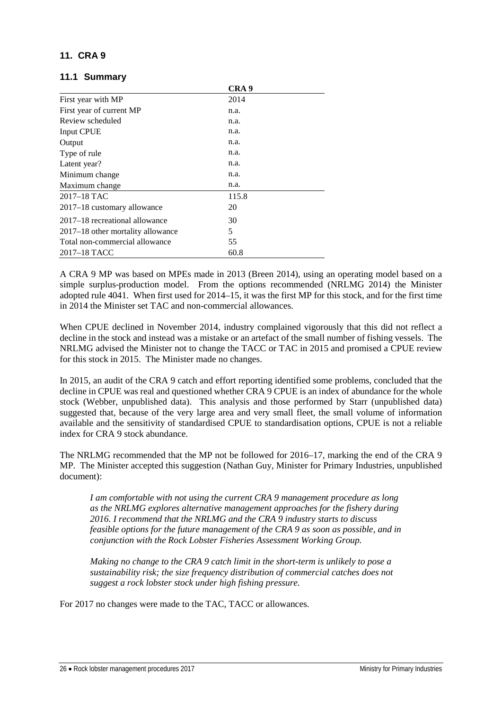## **11. CRA 9**

#### **11.1 Summary**

|                                   | CRA 9 |  |
|-----------------------------------|-------|--|
| First year with MP                | 2014  |  |
| First year of current MP          | n.a.  |  |
| Review scheduled                  | n.a.  |  |
| Input CPUE                        | n.a.  |  |
| Output                            | n.a.  |  |
| Type of rule                      | n.a.  |  |
| Latent year?                      | n.a.  |  |
| Minimum change                    | n.a.  |  |
| Maximum change                    | n.a.  |  |
| $2017 - 18$ TAC                   | 115.8 |  |
| 2017–18 customary allowance       | 20    |  |
| 2017–18 recreational allowance    | 30    |  |
| 2017–18 other mortality allowance | 5     |  |
| Total non-commercial allowance    | 55    |  |
| 2017–18 TACC                      | 60.8  |  |

A CRA 9 MP was based on MPEs made in 2013 (Breen 2014), using an operating model based on a simple surplus-production model. From the options recommended (NRLMG 2014) the Minister adopted rule 4041. When first used for 2014–15, it was the first MP for this stock, and for the first time in 2014 the Minister set TAC and non-commercial allowances.

When CPUE declined in November 2014, industry complained vigorously that this did not reflect a decline in the stock and instead was a mistake or an artefact of the small number of fishing vessels. The NRLMG advised the Minister not to change the TACC or TAC in 2015 and promised a CPUE review for this stock in 2015. The Minister made no changes.

In 2015, an audit of the CRA 9 catch and effort reporting identified some problems, concluded that the decline in CPUE was real and questioned whether CRA 9 CPUE is an index of abundance for the whole stock (Webber, unpublished data). This analysis and those performed by Starr (unpublished data) suggested that, because of the very large area and very small fleet, the small volume of information available and the sensitivity of standardised CPUE to standardisation options, CPUE is not a reliable index for CRA 9 stock abundance.

The NRLMG recommended that the MP not be followed for 2016–17, marking the end of the CRA 9 MP. The Minister accepted this suggestion (Nathan Guy, Minister for Primary Industries, unpublished document):

*I am comfortable with not using the current CRA 9 management procedure as long as the NRLMG explores alternative management approaches for the fishery during 2016. I recommend that the NRLMG and the CRA 9 industry starts to discuss feasible options for the future management of the CRA 9 as soon as possible, and in conjunction with the Rock Lobster Fisheries Assessment Working Group.*

*Making no change to the CRA 9 catch limit in the short-term is unlikely to pose a sustainability risk; the size frequency distribution of commercial catches does not suggest a rock lobster stock under high fishing pressure.*

For 2017 no changes were made to the TAC, TACC or allowances.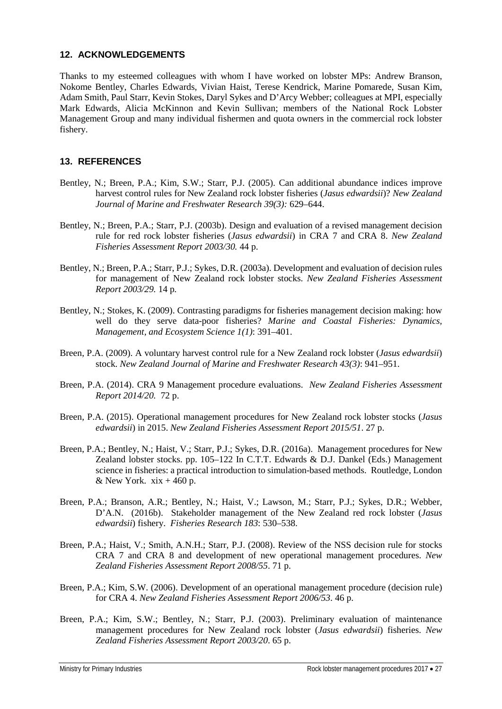## **12. ACKNOWLEDGEMENTS**

Thanks to my esteemed colleagues with whom I have worked on lobster MPs: Andrew Branson, Nokome Bentley, Charles Edwards, Vivian Haist, Terese Kendrick, Marine Pomarede, Susan Kim, Adam Smith, Paul Starr, Kevin Stokes, Daryl Sykes and D'Arcy Webber; colleagues at MPI, especially Mark Edwards, Alicia McKinnon and Kevin Sullivan; members of the National Rock Lobster Management Group and many individual fishermen and quota owners in the commercial rock lobster fishery.

## **13. REFERENCES**

- Bentley, N.; Breen, P.A.; Kim, S.W.; Starr, P.J. (2005). Can additional abundance indices improve harvest control rules for New Zealand rock lobster fisheries (*Jasus edwardsii*)? *New Zealand Journal of Marine and Freshwater Research 39(3):* 629–644.
- Bentley, N.; Breen, P.A.; Starr, P.J. (2003b). Design and evaluation of a revised management decision rule for red rock lobster fisheries (*Jasus edwardsii*) in CRA 7 and CRA 8. *New Zealand Fisheries Assessment Report 2003/30.* 44 p.
- Bentley, N.; Breen, P.A.; Starr, P.J.; Sykes, D.R. (2003a). Development and evaluation of decision rules for management of New Zealand rock lobster stocks. *New Zealand Fisheries Assessment Report 2003/29.* 14 p*.*
- Bentley, N.; Stokes, K. (2009). Contrasting paradigms for fisheries management decision making: how well do they serve data-poor fisheries? *Marine and Coastal Fisheries: Dynamics, Management, and Ecosystem Science 1(1)*: 391–401.
- Breen, P.A. (2009). A voluntary harvest control rule for a New Zealand rock lobster (*Jasus edwardsii*) stock. *New Zealand Journal of Marine and Freshwater Research 43(3)*: 941–951.
- Breen, P.A. (2014). CRA 9 Management procedure evaluations. *New Zealand Fisheries Assessment Report 2014/20.* 72 p.
- Breen, P.A. (2015). Operational management procedures for New Zealand rock lobster stocks (*Jasus edwardsii*) in 2015. *New Zealand Fisheries Assessment Report 2015/51*. 27 p.
- Breen, P.A.; Bentley, N.; Haist, V.; Starr, P.J.; Sykes, D.R. (2016a). Management procedures for New Zealand lobster stocks. pp. 105–122 In C.T.T. Edwards & D.J. Dankel (Eds.) Management science in fisheries: a practical introduction to simulation-based methods. Routledge, London & New York.  $xix + 460p$ .
- Breen, P.A.; Branson, A.R.; Bentley, N.; Haist, V.; Lawson, M.; Starr, P.J.; Sykes, D.R.; Webber, D'A.N. (2016b). Stakeholder management of the New Zealand red rock lobster (*Jasus edwardsii*) fishery. *Fisheries Research 183*: 530–538.
- Breen, P.A.; Haist, V.; Smith, A.N.H.; Starr, P.J. (2008). Review of the NSS decision rule for stocks CRA 7 and CRA 8 and development of new operational management procedures. *New Zealand Fisheries Assessment Report 2008/55*. 71 p.
- Breen, P.A.; Kim, S.W. (2006). Development of an operational management procedure (decision rule) for CRA 4. *New Zealand Fisheries Assessment Report 2006/53*. 46 p.
- Breen, P.A.; Kim, S.W.; Bentley, N.; Starr, P.J. (2003). Preliminary evaluation of maintenance management procedures for New Zealand rock lobster (*Jasus edwardsii*) fisheries. *New Zealand Fisheries Assessment Report 2003/20*. 65 p.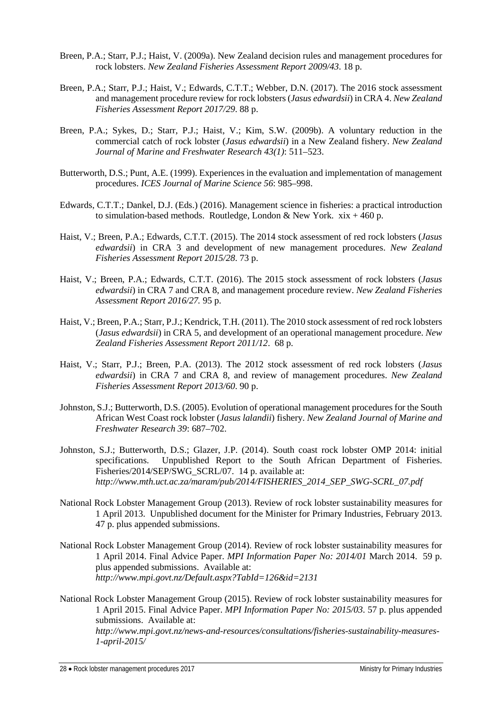- Breen, P.A.; Starr, P.J.; Haist, V. (2009a). New Zealand decision rules and management procedures for rock lobsters. *New Zealand Fisheries Assessment Report 2009/43*. 18 p.
- Breen, P.A.; Starr, P.J.; Haist, V.; Edwards, C.T.T.; Webber, D.N. (2017). The 2016 stock assessment and management procedure review for rock lobsters (*Jasus edwardsii*) in CRA 4. *New Zealand Fisheries Assessment Report 2017/29*. 88 p.
- Breen, P.A.; Sykes, D.; Starr, P.J.; Haist, V.; Kim, S.W. (2009b). A voluntary reduction in the commercial catch of rock lobster (*Jasus edwardsii*) in a New Zealand fishery. *New Zealand Journal of Marine and Freshwater Research 43(1)*: 511–523.
- Butterworth, D.S.; Punt, A.E. (1999). Experiences in the evaluation and implementation of management procedures. *ICES Journal of Marine Science 56*: 985–998.
- Edwards, C.T.T.; Dankel, D.J. (Eds.) (2016). Management science in fisheries: a practical introduction to simulation-based methods. Routledge, London & New York.  $xix + 460p$ .
- Haist, V.; Breen, P.A.; Edwards, C.T.T. (2015). The 2014 stock assessment of red rock lobsters (*Jasus edwardsii*) in CRA 3 and development of new management procedures. *New Zealand Fisheries Assessment Report 2015/28*. 73 p.
- Haist, V.; Breen, P.A.; Edwards, C.T.T. (2016). The 2015 stock assessment of rock lobsters (*Jasus edwardsii*) in CRA 7 and CRA 8, and management procedure review. *New Zealand Fisheries Assessment Report 2016/27.* 95 p.
- Haist, V.; Breen, P.A.; Starr, P.J.; Kendrick, T.H. (2011). The 2010 stock assessment of red rock lobsters (*Jasus edwardsii*) in CRA 5, and development of an operational management procedure. *New Zealand Fisheries Assessment Report 2011/12*. 68 p.
- Haist, V.; Starr, P.J.; Breen, P.A. (2013). The 2012 stock assessment of red rock lobsters (*Jasus edwardsii*) in CRA 7 and CRA 8, and review of management procedures. *New Zealand Fisheries Assessment Report 2013/60*. 90 p.
- Johnston, S.J.; Butterworth, D.S. (2005). Evolution of operational management procedures for the South African West Coast rock lobster (*Jasus lalandii*) fishery. *New Zealand Journal of Marine and Freshwater Research 39*: 687–702.
- Johnston, S.J.; Butterworth, D.S.; Glazer, J.P. (2014). South coast rock lobster OMP 2014: initial specifications. Unpublished Report to the South African Department of Fisheries. Fisheries/2014/SEP/SWG\_SCRL/07. 14 p. available at: *http://www.mth.uct.ac.za/maram/pub/2014/FISHERIES\_2014\_SEP\_SWG-SCRL\_07.pdf*
- National Rock Lobster Management Group (2013). Review of rock lobster sustainability measures for 1 April 2013. Unpublished document for the Minister for Primary Industries, February 2013. 47 p. plus appended submissions.
- National Rock Lobster Management Group (2014). Review of rock lobster sustainability measures for 1 April 2014. Final Advice Paper. *MPI Information Paper No: 2014/01* March 2014. 59 p. plus appended submissions. Available at: *http://www.mpi.govt.nz/Default.aspx?TabId=126&id=2131*
- National Rock Lobster Management Group (2015). Review of rock lobster sustainability measures for 1 April 2015. Final Advice Paper. *MPI Information Paper No: 2015/03*. 57 p. plus appended submissions. Available at: *http://www.mpi.govt.nz/news-and-resources/consultations/fisheries-sustainability-measures-1-april-2015/*